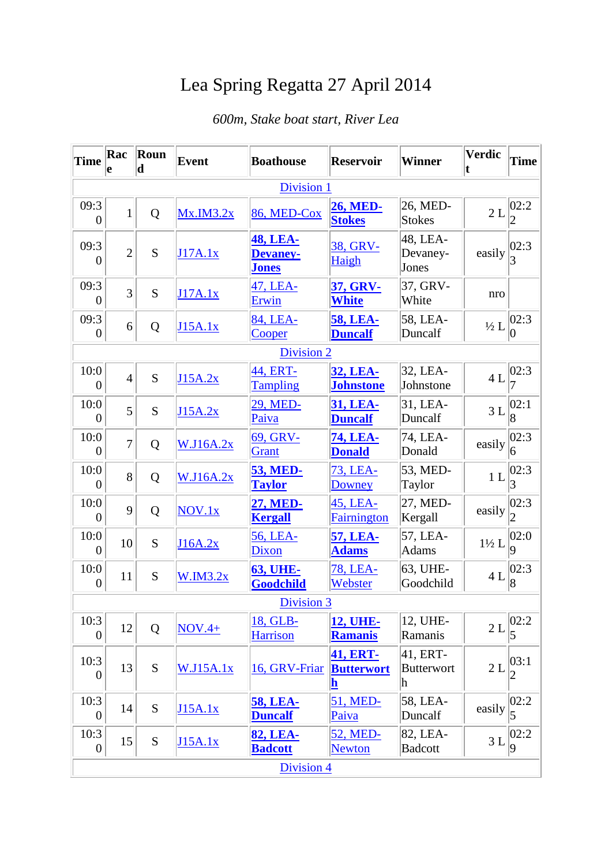## Lea Spring Regatta 27 April 2014

## *600m, Stake boat start, River Lea*

| <b>Time</b>            | Rac<br>le      | Roun<br>$\mathbf d$ | <b>Event</b>     | <b>Boathouse</b>                                   | <b>Reservoir</b>                                                | <b>Winner</b>                      | <b>Verdic</b>    | <b>Time</b>             |  |
|------------------------|----------------|---------------------|------------------|----------------------------------------------------|-----------------------------------------------------------------|------------------------------------|------------------|-------------------------|--|
| Division 1             |                |                     |                  |                                                    |                                                                 |                                    |                  |                         |  |
| 09:3<br>$\theta$       | $\mathbf{1}$   | Q                   | Mx.M3.2x         | 86, MED-Cox                                        | <b>26, MED-</b><br><b>Stokes</b>                                | 26, MED-<br><b>Stokes</b>          | 2L               | 02:2                    |  |
| 09:3<br>$\theta$       | $\overline{2}$ | S                   | J17A.1x          | <b>48, LEA-</b><br><b>Devaney-</b><br><u>Jones</u> | 38, GRV-<br>Haigh                                               | 48, LEA-<br>Devaney-<br>Jones      | easily           | 02:3                    |  |
| 09:3<br>$\theta$       | $\overline{3}$ | S                   | J17A.1x          | 47, LEA-<br>Erwin                                  | 37, GRV-<br><b>White</b>                                        | 37, GRV-<br>White                  | nro              |                         |  |
| 09:3<br>$\theta$       | 6              | Q                   | J15A.1x          | 84, LEA-<br>Cooper                                 | <b>58, LEA-</b><br><b>Duncalf</b>                               | 58, LEA-<br>Duncalf                | $\frac{1}{2}L$   | 02:3                    |  |
|                        |                |                     |                  | <b>Division 2</b>                                  |                                                                 |                                    |                  |                         |  |
| 10:0<br>$\overline{0}$ | $\overline{4}$ | S                   | J15A.2x          | 44, ERT-<br><b>Tampling</b>                        | <b>32, LEA-</b><br><b>Johnstone</b>                             | 32, LEA-<br>Johnstone              | 4L               | 02:3                    |  |
| 10:0<br>$\overline{0}$ | $\overline{5}$ | S                   | J15A.2x          | 29, MED-<br>Paiva                                  | 31, LEA-<br><b>Duncalf</b>                                      | 31, LEA-<br>Duncalf                | 3L               | 02:1                    |  |
| 10:0<br>$\theta$       | $\overline{7}$ | Q                   | W.J16A.2x        | 69, GRV-<br><b>Grant</b>                           | <b>74, LEA-</b><br><b>Donald</b>                                | 74, LEA-<br>Donald                 | easily           | 02:3 <br>6              |  |
| 10:0<br>$\overline{0}$ | 8              | Q                   | W.J16A.2x        | <b>53, MED-</b><br><b>Taylor</b>                   | 73, LEA-<br>Downey                                              | 53, MED-<br>Taylor                 | 1 <sub>L</sub>   | 02:3 <br>3              |  |
| 10:0<br>$\theta$       | 9              | Q                   | NOV.1x           | 27, MED-<br><b>Kergall</b>                         | 45, LEA-<br>Fairnington                                         | 27, MED-<br>Kergall                | easily           | 02:3                    |  |
| 10:0<br>$\overline{0}$ | 10             | S                   | J16A.2x          | 56, LEA-<br>Dixon                                  | <b>57, LEA-</b><br><b>Adams</b>                                 | 57, LEA-<br><b>Adams</b>           | $1\frac{1}{2}$ L | 02:0<br>9               |  |
| 10:0<br>$\overline{0}$ | 11             | S                   | W.M3.2x          | <b>63, UHE-</b><br>Goodchild                       | 78, LEA-<br>Webster                                             | 63, UHE-<br>Goodchild              | 4L               | 02:3<br>$\vert 8$       |  |
| Division 3             |                |                     |                  |                                                    |                                                                 |                                    |                  |                         |  |
| 10:3<br>$\theta$       | 12             | Q                   | $NOV.4+$         | 18, GLB-<br><b>Harrison</b>                        | <b>12, UHE-</b><br><b>Ramanis</b>                               | 12, UHE-<br>Ramanis                | 2L               | 02:2                    |  |
| 10:3<br>$\theta$       | 13             | ${\bf S}$           | <b>W.J15A.1x</b> | 16, GRV-Friar                                      | <b>41, ERT-</b><br><b>Butterwort</b><br>$\overline{\mathbf{h}}$ | 41, ERT-<br><b>Butterwort</b><br>h | 2L               | 03:1 <br>2              |  |
| 10:3<br>$\theta$       | 14             | S                   | J15A.1x          | <b>58, LEA-</b><br><b>Duncalf</b>                  | 51, MED-<br>Paiva                                               | 58, LEA-<br>Duncalf                | easily           | 02:2<br>5               |  |
| 10:3<br>$\overline{0}$ | 15             | S                   | J15A.1x          | <b>82, LEA-</b><br><b>Badcott</b>                  | 52, MED-<br><b>Newton</b>                                       | 82, LEA-<br><b>Badcott</b>         | 3L               | 02:2 <br>$\overline{9}$ |  |
| <b>Division 4</b>      |                |                     |                  |                                                    |                                                                 |                                    |                  |                         |  |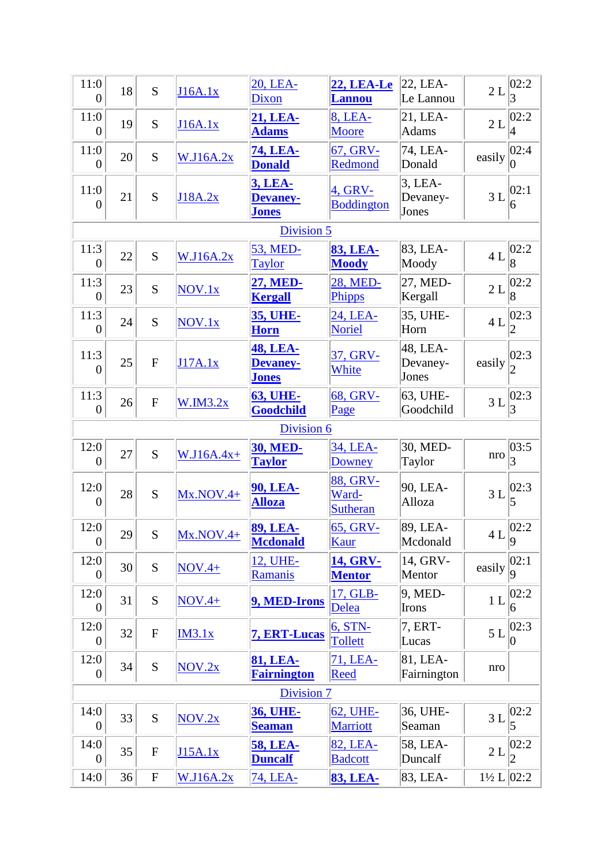| 11:0<br>$\boldsymbol{0}$ | 18 | S              | J16A.1x          | 20, LEA-<br>Dixon                                  | <b>22, LEA-Le</b><br><b>Lannou</b>   | 22, LEA-<br>Le Lannou           | 2L                      | 02:2 <br>3             |  |  |
|--------------------------|----|----------------|------------------|----------------------------------------------------|--------------------------------------|---------------------------------|-------------------------|------------------------|--|--|
| 11:0<br>$\overline{0}$   | 19 | S              | J16A.1x          | 21, LEA-<br><b>Adams</b>                           | 8, LEA-<br>Moore                     | $21,LEA-$<br><b>Adams</b>       | 2L                      | 02:2                   |  |  |
| 11:0<br>$\boldsymbol{0}$ | 20 | S              | W.J16A.2x        | 74, LEA-<br><b>Donald</b>                          | 67, GRV-<br>Redmond                  | 74, LEA-<br>Donald              | easily                  | 02:4                   |  |  |
| 11:0<br>$\boldsymbol{0}$ | 21 | S              | J18A.2x          | 3, LEA-<br><b>Devaney-</b><br><b>Jones</b>         | 4, GRV-<br><b>Boddington</b>         | $3$ , LEA-<br>Devaney-<br>Jones | 3L                      | 02:1<br>6              |  |  |
| Division 5               |    |                |                  |                                                    |                                      |                                 |                         |                        |  |  |
| 11:3<br>$\overline{0}$   | 22 | S              | <b>W.J16A.2x</b> | 53, MED-<br><b>Taylor</b>                          | <b>83, LEA-</b><br><b>Moody</b>      | 83, LEA-<br>Moody               | 4L                      | 02:2<br>$\overline{8}$ |  |  |
| 11:3<br>$\overline{0}$   | 23 | S              | NOV.1x           | <b>27, MED-</b><br><b>Kergall</b>                  | 28, MED-<br>Phipps                   | 27, MED-<br>Kergall             | $2\,\mathrm{L}$         | 02:2<br>$\overline{8}$ |  |  |
| 11:3<br>$\boldsymbol{0}$ | 24 | S              | NOV.1x           | <u>35, UHE-</u><br><b>Horn</b>                     | 24, LEA-<br><b>Noriel</b>            | 35, UHE-<br>Horn                | 4L                      | 02:3                   |  |  |
| 11:3<br>$\overline{0}$   | 25 | $\overline{F}$ | J17A.1x          | <b>48, LEA-</b><br><b>Devaney-</b><br><b>Jones</b> | 37, GRV-<br>White                    | 48, LEA-<br>Devaney-<br>Jones   | easily                  | 02:3                   |  |  |
| 11:3<br>$\overline{0}$   | 26 | ${\bf F}$      | W.M3.2x          | <b>63, UHE-</b><br>Goodchild                       | 68, GRV-<br>Page                     | 63, UHE-<br>Goodchild           | 3L                      | 02:3                   |  |  |
|                          |    |                |                  | Division 6                                         |                                      |                                 |                         |                        |  |  |
| 12:0<br>$\boldsymbol{0}$ | 27 | S              | $W.J16A.4x+$     | <b>30, MED-</b><br><b>Taylor</b>                   | 34, LEA-<br><b>Downey</b>            | 30, MED-<br>Taylor              | nro                     | 03:5<br>3              |  |  |
| 12:0<br>$\boldsymbol{0}$ | 28 | S              | $Mx.NOV.4+$      | <b>90, LEA-</b><br><b>Alloza</b>                   | 88, GRV-<br>Ward-<br><b>Sutheran</b> | 90, LEA-<br>Alloza              | 3L                      | 02:3<br>5              |  |  |
| 12:0<br>$\boldsymbol{0}$ | 29 | S              | $Mx.NOV.4+$      | <b>89, LEA-</b><br><b>Mcdonald</b>                 | 65, GRV-<br><b>Kaur</b>              | 89, LEA-<br>Mcdonald            | $4L\Big\ _{9}^{\infty}$ | 02:2                   |  |  |
| 12:0<br>$\overline{0}$   | 30 | S              | $NOV.4+$         | 12, UHE-<br><b>Ramanis</b>                         | 14, GRV-<br><b>Mentor</b>            | 14, GRV-<br>Mentor              | easily                  | 02:1 <br>9             |  |  |
| 12:0<br>$\theta$         | 31 | S              | $NOV.4+$         | 9, MED-Irons                                       | 17, GLB-<br>Delea                    | 9, MED-<br>Irons                | 1 <sub>L</sub>          | 02:2<br>6              |  |  |
| 12:0<br>$\overline{0}$   | 32 | ${\bf F}$      | IM3.1x           | 7, ERT-Lucas                                       | 6, STN-<br>Tollett                   | 7, ERT-<br>Lucas                | 5L                      | 02:3 <br>0             |  |  |
| 12:0<br>$\overline{0}$   | 34 | ${\bf S}$      | NOV.2x           | 81, LEA-<br><b>Fairnington</b>                     | 71, LEA-<br><b>Reed</b>              | 81, LEA-<br>Fairnington         | nro                     |                        |  |  |
| Division 7               |    |                |                  |                                                    |                                      |                                 |                         |                        |  |  |
| 14:0<br>$\overline{0}$   | 33 | S              | NOV.2x           | <b>36, UHE-</b><br><b>Seaman</b>                   | 62, UHE-<br>Marriott                 | 36, UHE-<br>Seaman              | 3L                      | 02:2 <br>5             |  |  |
| 14:0<br>$\overline{0}$   | 35 | ${\bf F}$      | J15A.1x          | <b>58, LEA-</b><br><b>Duncalf</b>                  | 82, LEA-<br><b>Badcott</b>           | 58, LEA-<br>Duncalf             | 2L                      | 02:2                   |  |  |
| 14:0                     | 36 | ${\bf F}$      | W.J16A.2x        | 74, LEA-                                           | <b>83, LEA-</b>                      | 83, LEA-                        | $1\frac{1}{2}$ L   02:2 |                        |  |  |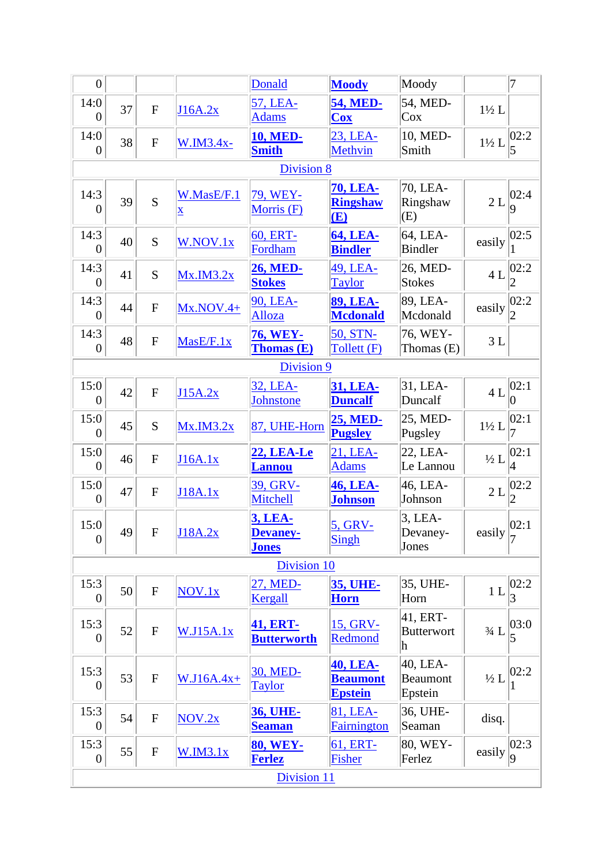| $\overline{0}$           |            |                |                                        | <b>Donald</b>                         | <b>Moody</b>                                         | Moody                           |                  | $\overline{7}$         |  |  |
|--------------------------|------------|----------------|----------------------------------------|---------------------------------------|------------------------------------------------------|---------------------------------|------------------|------------------------|--|--|
| 14:0<br>0                | 37         | $\overline{F}$ | J16A.2x                                | 57, LEA-<br><b>Adams</b>              | <b>54, MED-</b><br><b>Cox</b>                        | 54, MED-<br>Cox                 | $1\frac{1}{2}$ L |                        |  |  |
| 14:0<br>$\overline{0}$   | 38         | $\mathbf F$    | $W.M3.4x-$                             | <b>10, MED-</b><br><b>Smith</b>       | 23, LEA-<br><b>Methvin</b>                           | 10, MED-<br>Smith               | $1\frac{1}{2}$ L | 02:2                   |  |  |
|                          |            |                |                                        | Division 8                            |                                                      |                                 |                  |                        |  |  |
| 14:3<br>$\overline{0}$   | 39         | $\overline{S}$ | W.MasE/F.1<br>$\underline{\mathbf{X}}$ | 79, WEY-<br><b>Morris</b> (F)         | <b>70, LEA-</b><br><b>Ringshaw</b><br>(E)            | 70, LEA-<br>Ringshaw<br>(E)     | $2\,\mathrm{L}$  | 02:4<br>9              |  |  |
| 14:3<br>$\boldsymbol{0}$ | 40         | S              | W.NOV.1x                               | 60, ERT-<br>Fordham                   | <b>64, LEA-</b><br><b>Bindler</b>                    | 64, LEA-<br><b>Bindler</b>      | easily           | 02:5                   |  |  |
| 14:3<br>$\boldsymbol{0}$ | 41         | S              | $Mx$ . $IM3.2x$                        | <b>26, MED-</b><br><b>Stokes</b>      | 49, LEA-<br><b>Taylor</b>                            | 26, MED-<br><b>Stokes</b>       | 4L               | 02:2                   |  |  |
| 14:3<br>$\overline{0}$   | 44         | $\mathbf F$    | $Mx.NOV.4+$                            | 90, LEA-<br>Alloza                    | <b>89, LEA-</b><br><b>Mcdonald</b>                   | 89, LEA-<br>Mcdonald            | easily           | 02:2                   |  |  |
| 14:3<br>$\overline{0}$   | 48         | ${\bf F}$      | MasE/F.1x                              | <b>76, WEY-</b><br><b>Thomas (E)</b>  | 50, STN-<br>Tollett (F)                              | 76, WEY-<br>Thomas $(E)$        | 3L               |                        |  |  |
|                          | Division 9 |                |                                        |                                       |                                                      |                                 |                  |                        |  |  |
| 15:0<br>$\overline{0}$   | 42         | $\mathbf F$    | J15A.2x                                | 32, LEA-<br><b>Johnstone</b>          | <b>31, LEA-</b><br><b>Duncalf</b>                    | 31, LEA-<br>Duncalf             | 4L               | 02:1 <br>$\theta$      |  |  |
| 15:0<br>$\boldsymbol{0}$ | 45         | S              | Mx.M3.2x                               | 87, UHE-Horn                          | <b>25, MED-</b><br><b>Pugsley</b>                    | 25, MED-<br>Pugsley             | $1\frac{1}{2}$ L | 02:1                   |  |  |
| 15:0<br>$\boldsymbol{0}$ | 46         | $\mathbf{F}$   | J16A.1x                                | <u> 22, LEA-Le</u><br><b>Lannou</b>   | 21, LEA-<br><b>Adams</b>                             | 22, LEA-<br>Le Lannou           | $\frac{1}{2}L$   | 02:1<br>$\overline{4}$ |  |  |
| 15:0<br>$\overline{0}$   | 47         | ${\bf F}$      | J18A.1x                                | 39, GRV-<br>Mitchell                  | <b>46, LEA-</b><br><b>Johnson</b>                    | 46, LEA-<br>Johnson             | 2L               | 02:2                   |  |  |
| 15:0<br>$\boldsymbol{0}$ | 49         | F              | J18A.2x                                | 3, LEA-<br>Devaney-<br><b>Jones</b>   | 5, GRV-<br>Singh                                     | $3$ , LEA-<br>Devaney-<br>Jones | easily           | 02:1                   |  |  |
|                          |            |                |                                        | Division 10                           |                                                      |                                 |                  |                        |  |  |
| 15:3<br>$\overline{0}$   | 50         | ${\bf F}$      | NOV.1x                                 | 27, MED-<br>Kergall                   | <b>35, UHE-</b><br><b>Horn</b>                       | 35, UHE-<br>Horn                | 1L               | 02:2                   |  |  |
| 15:3<br>0                | 52         | ${\bf F}$      | W.J15A.1x                              | <b>41, ERT-</b><br><b>Butterworth</b> | 15, GRV-<br>Redmond                                  | 41, ERT-<br>Butterwort<br>h     | $3/4$ L          | 03:0                   |  |  |
| 15:3<br>0                | 53         | ${\bf F}$      | $W.J16A.4x+$                           | 30, MED-<br><b>Taylor</b>             | <b>40, LEA-</b><br><b>Beaumont</b><br><b>Epstein</b> | 40, LEA-<br>Beaumont<br>Epstein | $\frac{1}{2}L$   | 02:2                   |  |  |
| 15:3<br>$\theta$         | 54         | ${\bf F}$      | NOV.2x                                 | <u>36, UHE-</u><br><b>Seaman</b>      | 81, LEA-<br><b>Fairnington</b>                       | 36, UHE-<br>Seaman              | disq.            |                        |  |  |
| 15:3<br>$\boldsymbol{0}$ | 55         | ${\bf F}$      | W.M3.1x                                | <b>80, WEY-</b><br><b>Ferlez</b>      | 61, ERT-<br>Fisher                                   | 80, WEY-<br>Ferlez              | easily           | 02:3 <br>9             |  |  |
| Division 11              |            |                |                                        |                                       |                                                      |                                 |                  |                        |  |  |